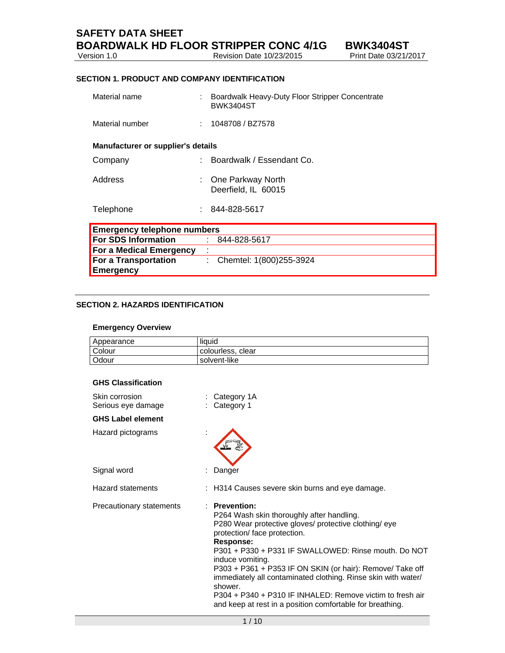**SAFETY DATA SHEET** 

Version 1.0 Revision Date 10/23/2015 Print Date 03/21/2015 Print Date 03/21/2015 Print Date 03/21/2017 Print D

#### **SECTION 1. PRODUCT AND COMPANY IDENTIFICATION**

| Material name                      | Boardwalk Heavy-Duty Floor Stripper Concentrate<br><b>BWK3404ST</b> |
|------------------------------------|---------------------------------------------------------------------|
| Material number                    | 1048708 / BZ7578                                                    |
| Manufacturer or supplier's details |                                                                     |
| Company                            | Boardwalk / Essendant Co.                                           |
| Address                            | One Parkway North<br>Deerfield, IL 60015                            |
| Telephone                          | 844-828-5617                                                        |
| <b>Emergency telephone numbers</b> |                                                                     |
| For SDS Information                | 844-828-5617                                                        |
| <b>For a Medical Emergency</b>     |                                                                     |
| <b>For a Transportation</b>        | Chemtel: 1(800)255-3924                                             |
| Emergency                          |                                                                     |

#### **SECTION 2. HAZARDS IDENTIFICATION**

#### **Emergency Overview**

| Appearance | liquid            |
|------------|-------------------|
| Colour     | colourless, clear |
| Odour      | solvent-like      |

#### **GHS Classification**

| Skin corrosion<br>Serious eye damage | : Category 1A<br>: Category 1                                                                                                                                                                                                                                                                                                                                                                                                                                                                                        |
|--------------------------------------|----------------------------------------------------------------------------------------------------------------------------------------------------------------------------------------------------------------------------------------------------------------------------------------------------------------------------------------------------------------------------------------------------------------------------------------------------------------------------------------------------------------------|
| <b>GHS Label element</b>             |                                                                                                                                                                                                                                                                                                                                                                                                                                                                                                                      |
| Hazard pictograms                    |                                                                                                                                                                                                                                                                                                                                                                                                                                                                                                                      |
| Signal word                          | Danger                                                                                                                                                                                                                                                                                                                                                                                                                                                                                                               |
| <b>Hazard statements</b>             | : H314 Causes severe skin burns and eye damage.                                                                                                                                                                                                                                                                                                                                                                                                                                                                      |
| Precautionary statements             | <b>Prevention:</b><br>P264 Wash skin thoroughly after handling.<br>P280 Wear protective gloves/ protective clothing/ eye<br>protection/ face protection.<br>Response:<br>P301 + P330 + P331 IF SWALLOWED: Rinse mouth. Do NOT<br>induce vomiting.<br>P303 + P361 + P353 IF ON SKIN (or hair): Remove/ Take off<br>immediately all contaminated clothing. Rinse skin with water/<br>shower.<br>P304 + P340 + P310 IF INHALED: Remove victim to fresh air<br>and keep at rest in a position comfortable for breathing. |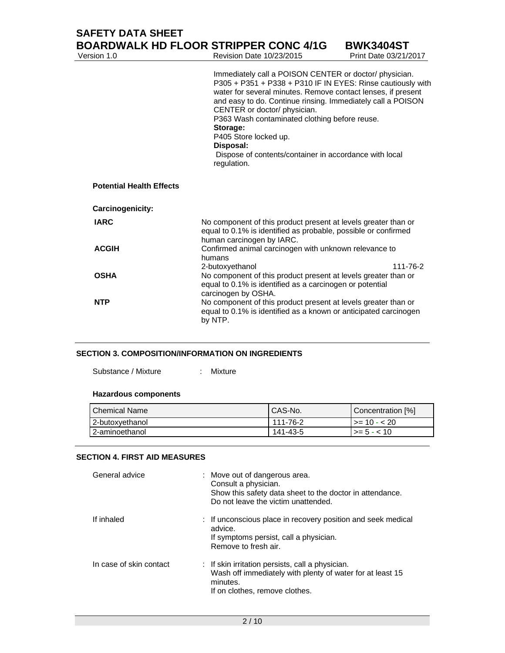| Version 1.0                     | <b>BOARDWALK HD FLOOR STRIPPER CONC 4/1G</b><br>Revision Date 10/23/2015                                                                                                                                                                                                                                                                                                                                                                                         | <b>BWK3404ST</b><br>Print Date 03/21/2017 |
|---------------------------------|------------------------------------------------------------------------------------------------------------------------------------------------------------------------------------------------------------------------------------------------------------------------------------------------------------------------------------------------------------------------------------------------------------------------------------------------------------------|-------------------------------------------|
|                                 | Immediately call a POISON CENTER or doctor/ physician.<br>P305 + P351 + P338 + P310 IF IN EYES: Rinse cautiously with<br>water for several minutes. Remove contact lenses, if present<br>and easy to do. Continue rinsing. Immediately call a POISON<br>CENTER or doctor/ physician.<br>P363 Wash contaminated clothing before reuse.<br>Storage:<br>P405 Store locked up.<br>Disposal:<br>Dispose of contents/container in accordance with local<br>regulation. |                                           |
| <b>Potential Health Effects</b> |                                                                                                                                                                                                                                                                                                                                                                                                                                                                  |                                           |
| Carcinogenicity:                |                                                                                                                                                                                                                                                                                                                                                                                                                                                                  |                                           |
| <b>IARC</b>                     | No component of this product present at levels greater than or<br>equal to 0.1% is identified as probable, possible or confirmed<br>human carcinogen by IARC.                                                                                                                                                                                                                                                                                                    |                                           |
| <b>ACGIH</b>                    | Confirmed animal carcinogen with unknown relevance to<br>humans                                                                                                                                                                                                                                                                                                                                                                                                  |                                           |
| <b>OSHA</b>                     | 2-butoxyethanol<br>No component of this product present at levels greater than or<br>equal to 0.1% is identified as a carcinogen or potential<br>carcinogen by OSHA.                                                                                                                                                                                                                                                                                             | 111-76-2                                  |
| <b>NTP</b>                      | No component of this product present at levels greater than or<br>equal to 0.1% is identified as a known or anticipated carcinogen<br>by NTP.                                                                                                                                                                                                                                                                                                                    |                                           |

#### **SECTION 3. COMPOSITION/INFORMATION ON INGREDIENTS**

Substance / Mixture : Mixture

#### **Hazardous components**

| <b>Chemical Name</b> | CAS-No.  | Concentration [%] |
|----------------------|----------|-------------------|
| 2-butoxvethanol      | 111-76-2 | l >= 10 - < 20    |
| 2-aminoethanol       | 141-43-5 | $>= 5 - < 10$     |

# **SECTION 4. FIRST AID MEASURES**

| General advice          | : Move out of dangerous area.<br>Consult a physician.<br>Show this safety data sheet to the doctor in attendance.<br>Do not leave the victim unattended.               |
|-------------------------|------------------------------------------------------------------------------------------------------------------------------------------------------------------------|
| If inhaled              | : If unconscious place in recovery position and seek medical<br>advice.<br>If symptoms persist, call a physician.<br>Remove to fresh air.                              |
| In case of skin contact | $\therefore$ If skin irritation persists, call a physician.<br>Wash off immediately with plenty of water for at least 15<br>minutes.<br>If on clothes, remove clothes. |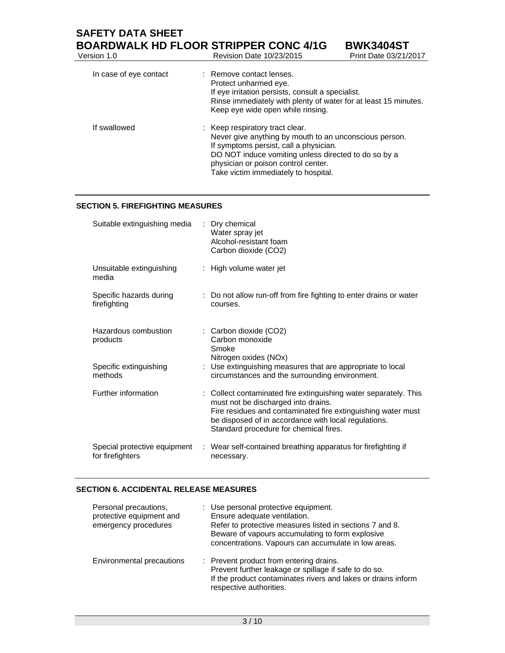# **SAFETY DATA SHEET BOARDWALK HD FLOOR STRIPPER CONC 4/1G BWK3404ST**<br>Nersion 1.0 Revision Date 10/23/2015 Print Date 03/21/2 Revision Date 10/23/2015 Print Date 03/21/2017 In case of eye contact : Remove contact lenses. Protect unharmed eye. If eye irritation persists, consult a specialist. Rinse immediately with plenty of water for at least 15 minutes. Keep eye wide open while rinsing.

| Never give anything by mouth to an unconscious person.<br>If symptoms persist, call a physician.<br>DO NOT induce vomiting unless directed to do so by a<br>physician or poison control center.<br>Take victim immediately to hospital. |
|-----------------------------------------------------------------------------------------------------------------------------------------------------------------------------------------------------------------------------------------|
|-----------------------------------------------------------------------------------------------------------------------------------------------------------------------------------------------------------------------------------------|

#### **SECTION 5. FIREFIGHTING MEASURES**

| Suitable extinguishing media                     | ÷ | Dry chemical<br>Water spray jet<br>Alcohol-resistant foam<br>Carbon dioxide (CO2)                                                                                                                                                                                         |
|--------------------------------------------------|---|---------------------------------------------------------------------------------------------------------------------------------------------------------------------------------------------------------------------------------------------------------------------------|
| Unsuitable extinguishing<br>media                |   | : High volume water jet                                                                                                                                                                                                                                                   |
| Specific hazards during<br>firefighting          |   | : Do not allow run-off from fire fighting to enter drains or water<br>courses.                                                                                                                                                                                            |
| Hazardous combustion<br>products                 |   | : Carbon dioxide (CO2)<br>Carbon monoxide<br>Smoke<br>Nitrogen oxides (NOx)                                                                                                                                                                                               |
| Specific extinguishing<br>methods                |   | : Use extinguishing measures that are appropriate to local<br>circumstances and the surrounding environment.                                                                                                                                                              |
| Further information                              |   | : Collect contaminated fire extinguishing water separately. This<br>must not be discharged into drains.<br>Fire residues and contaminated fire extinguishing water must<br>be disposed of in accordance with local regulations.<br>Standard procedure for chemical fires. |
| Special protective equipment<br>for firefighters |   | : Wear self-contained breathing apparatus for firefighting if<br>necessary.                                                                                                                                                                                               |

# **SECTION 6. ACCIDENTAL RELEASE MEASURES**

| Personal precautions,<br>protective equipment and<br>emergency procedures | : Use personal protective equipment.<br>Ensure adequate ventilation.<br>Refer to protective measures listed in sections 7 and 8.<br>Beware of vapours accumulating to form explosive<br>concentrations. Vapours can accumulate in low areas. |
|---------------------------------------------------------------------------|----------------------------------------------------------------------------------------------------------------------------------------------------------------------------------------------------------------------------------------------|
| Environmental precautions                                                 | : Prevent product from entering drains.<br>Prevent further leakage or spillage if safe to do so.<br>If the product contaminates rivers and lakes or drains inform<br>respective authorities.                                                 |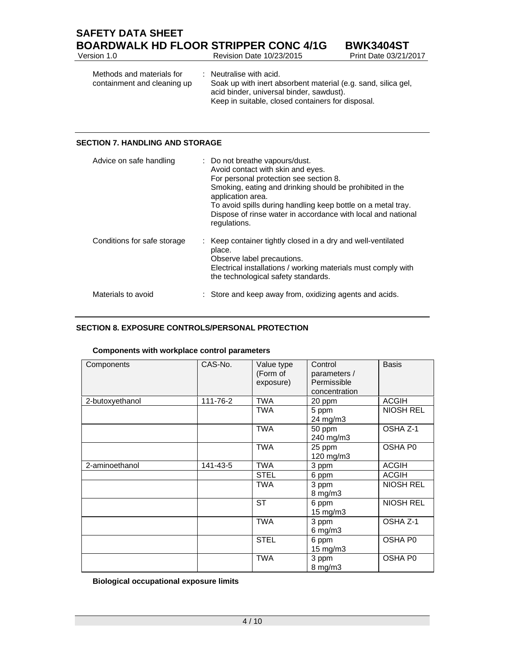| <b>SAFETY DATA SHEET</b> |                                              |                    |
|--------------------------|----------------------------------------------|--------------------|
|                          | <b>BOARDWALK HD FLOOR STRIPPER CONC 4/1G</b> | <b>BWK3404ST</b>   |
| Version 1.0              | Revision Date 10/23/2015                     | Print Date 03/21/2 |

| Version 1.0                                              | Revision Date 10/23/2015                                                                                                                                                                             | Print Date 03/21/2017 |
|----------------------------------------------------------|------------------------------------------------------------------------------------------------------------------------------------------------------------------------------------------------------|-----------------------|
| Methods and materials for<br>containment and cleaning up | $\therefore$ Neutralise with acid.<br>Soak up with inert absorbent material (e.g. sand, silica gel,<br>acid binder, universal binder, sawdust).<br>Keep in suitable, closed containers for disposal. |                       |

# **SECTION 7. HANDLING AND STORAGE**

| Advice on safe handling     | : Do not breathe vapours/dust.<br>Avoid contact with skin and eyes.<br>For personal protection see section 8.<br>Smoking, eating and drinking should be prohibited in the<br>application area.<br>To avoid spills during handling keep bottle on a metal tray.<br>Dispose of rinse water in accordance with local and national<br>regulations. |
|-----------------------------|------------------------------------------------------------------------------------------------------------------------------------------------------------------------------------------------------------------------------------------------------------------------------------------------------------------------------------------------|
| Conditions for safe storage | : Keep container tightly closed in a dry and well-ventilated<br>place.<br>Observe label precautions.<br>Electrical installations / working materials must comply with<br>the technological safety standards.                                                                                                                                   |
| Materials to avoid          | : Store and keep away from, oxidizing agents and acids.                                                                                                                                                                                                                                                                                        |

## **SECTION 8. EXPOSURE CONTROLS/PERSONAL PROTECTION**

| Components      | CAS-No.  | Value type<br>(Form of<br>exposure) | Control<br>parameters /<br>Permissible<br>concentration | <b>Basis</b>        |
|-----------------|----------|-------------------------------------|---------------------------------------------------------|---------------------|
| 2-butoxyethanol | 111-76-2 | <b>TWA</b>                          | 20 ppm                                                  | <b>ACGIH</b>        |
|                 |          | <b>TWA</b>                          | 5 ppm<br>24 mg/m3                                       | <b>NIOSH REL</b>    |
|                 |          | <b>TWA</b>                          | 50 ppm<br>240 mg/m3                                     | OSHA Z-1            |
|                 |          | <b>TWA</b>                          | 25 ppm<br>120 mg/m3                                     | OSHA P <sub>0</sub> |
| 2-aminoethanol  | 141-43-5 | <b>TWA</b>                          | 3 ppm                                                   | <b>ACGIH</b>        |
|                 |          | <b>STEL</b>                         | 6 ppm                                                   | <b>ACGIH</b>        |
|                 |          | <b>TWA</b>                          | 3 ppm<br>$8$ mg/m $3$                                   | <b>NIOSH REL</b>    |
|                 |          | <b>ST</b>                           | 6 ppm<br>15 mg/m3                                       | <b>NIOSH REL</b>    |
|                 |          | <b>TWA</b>                          | 3 ppm<br>$6$ mg/m $3$                                   | OSHA Z-1            |
|                 |          | <b>STEL</b>                         | 6 ppm<br>15 mg/m3                                       | OSHA P0             |
|                 |          | <b>TWA</b>                          | 3 ppm<br>$8$ mg/m $3$                                   | OSHA P0             |

#### **Components with workplace control parameters**

**Biological occupational exposure limits**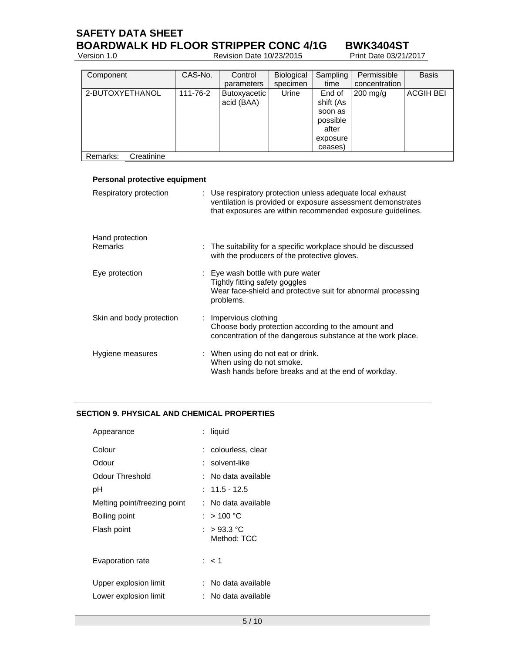# **SAFETY DATA SHEET BOARDWALK HD FLOOR STRIPPER CONC 4/1G BWK3404ST**<br>Version 1.0 Revision Date 10/23/2015 Print Date 03/21/2017

Version 1.0 Revision Date 10/23/2015 Print Date 03/21/2015 Print Date 03/21/2015 Print Date 03/21/2017 Print D

| Component              | CAS-No.  | Control      | Biological | Sampling  | Permissible        | <b>Basis</b>     |
|------------------------|----------|--------------|------------|-----------|--------------------|------------------|
|                        |          | parameters   | specimen   | time      | concentration      |                  |
| 2-BUTOXYETHANOL        | 111-76-2 | Butoxyacetic | Urine      | End of    | $200 \text{ mg/g}$ | <b>ACGIH BEI</b> |
|                        |          | acid (BAA)   |            | shift (As |                    |                  |
|                        |          |              |            | soon as   |                    |                  |
|                        |          |              |            | possible  |                    |                  |
|                        |          |              |            | after     |                    |                  |
|                        |          |              |            | exposure  |                    |                  |
|                        |          |              |            | ceases)   |                    |                  |
| Creatinine<br>Remarks: |          |              |            |           |                    |                  |

### **Personal protective equipment**

| Respiratory protection   | : Use respiratory protection unless adequate local exhaust<br>ventilation is provided or exposure assessment demonstrates<br>that exposures are within recommended exposure guidelines. |
|--------------------------|-----------------------------------------------------------------------------------------------------------------------------------------------------------------------------------------|
| Hand protection          |                                                                                                                                                                                         |
| <b>Remarks</b>           | : The suitability for a specific workplace should be discussed<br>with the producers of the protective gloves.                                                                          |
| Eye protection           | : Eye wash bottle with pure water<br>Tightly fitting safety goggles<br>Wear face-shield and protective suit for abnormal processing<br>problems.                                        |
| Skin and body protection | : Impervious clothing<br>Choose body protection according to the amount and<br>concentration of the dangerous substance at the work place.                                              |
| Hygiene measures         | : When using do not eat or drink.<br>When using do not smoke.<br>Wash hands before breaks and at the end of workday.                                                                    |

# **SECTION 9. PHYSICAL AND CHEMICAL PROPERTIES**

| Appearance                   | : liquid                           |
|------------------------------|------------------------------------|
| Colour                       | : colourless, clear                |
| Odour                        | : solvent-like                     |
| Odour Threshold              | : No data available                |
| рH                           | $: 11.5 - 12.5$                    |
| Melting point/freezing point | : No data available                |
| Boiling point                | : $>$ 100 °C                       |
| Flash point                  | : $>93.3\text{ °C}$<br>Method: TCC |
| Evaporation rate             | : < 1                              |
| Upper explosion limit        | No data available                  |
| Lower explosion limit        | No data available                  |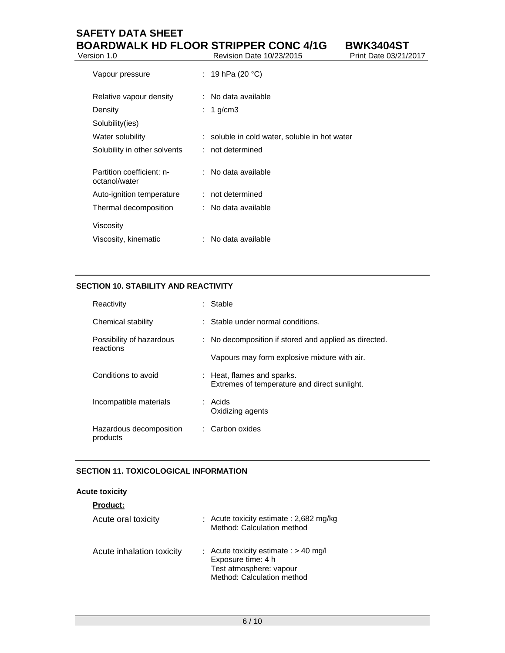# **SAFETY DATA SHEET BOARDWALK HD FLOOR STRIPPER CONC 4/1G BWK3404ST**<br>Nevision Date 10/23/2015 Print Date 03/21/2017 Revision Date 10/23/2015

| Vapour pressure                            | : 19 hPa (20 °C)                              |
|--------------------------------------------|-----------------------------------------------|
| Relative vapour density                    | : No data available                           |
| Density                                    | 1 g/cm $3$                                    |
| Solubility(ies)                            |                                               |
| Water solubility                           | : soluble in cold water, soluble in hot water |
| Solubility in other solvents               | : not determined                              |
|                                            |                                               |
| Partition coefficient: n-<br>octanol/water | : No data available                           |
| Auto-ignition temperature                  | : not determined                              |
| Thermal decomposition                      | : No data available                           |
| Viscosity                                  |                                               |
| Viscosity, kinematic                       | No data available                             |

# **SECTION 10. STABILITY AND REACTIVITY**

| Reactivity                            |  | : Stable                                                                   |
|---------------------------------------|--|----------------------------------------------------------------------------|
| Chemical stability                    |  | : Stable under normal conditions.                                          |
| Possibility of hazardous<br>reactions |  | : No decomposition if stored and applied as directed.                      |
|                                       |  | Vapours may form explosive mixture with air.                               |
| Conditions to avoid                   |  | : Heat, flames and sparks.<br>Extremes of temperature and direct sunlight. |
| Incompatible materials                |  | : Acids<br>Oxidizing agents                                                |
| Hazardous decomposition<br>products   |  | : Carbon oxides                                                            |

# **SECTION 11. TOXICOLOGICAL INFORMATION**

# **Acute toxicity**

| <b>Product:</b>           |                                                                                                                        |
|---------------------------|------------------------------------------------------------------------------------------------------------------------|
| Acute oral toxicity       | : Acute toxicity estimate : 2,682 mg/kg<br>Method: Calculation method                                                  |
| Acute inhalation toxicity | : Acute toxicity estimate : $> 40$ mg/l<br>Exposure time: 4 h<br>Test atmosphere: vapour<br>Method: Calculation method |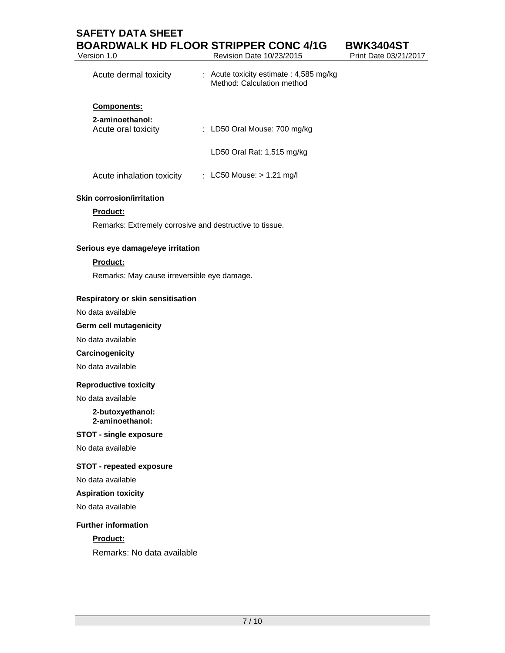# **SAFETY DATA SHEET BOARDWALK HD FLOOR STRIPPER CONC 4/1G**<br>Revision Date 10/23/2015 Revision Date 10/23/2015

| <b>BWK3404ST</b>      |
|-----------------------|
| Print Date 03/21/2017 |

| Acute dermal toxicity                  | $\therefore$ Acute toxicity estimate : 4,585 mg/kg<br>Method: Calculation method |
|----------------------------------------|----------------------------------------------------------------------------------|
| <b>Components:</b>                     |                                                                                  |
| 2-aminoethanol:<br>Acute oral toxicity | : LD50 Oral Mouse: $700 \text{ mg/kg}$                                           |
|                                        | LD50 Oral Rat: 1,515 mg/kg                                                       |
| Acute inhalation toxicity              | : LC50 Mouse: $> 1.21$ mg/l                                                      |

#### **Skin corrosion/irritation**

#### **Product:**

Remarks: Extremely corrosive and destructive to tissue.

#### **Serious eye damage/eye irritation**

#### **Product:**

Remarks: May cause irreversible eye damage.

#### **Respiratory or skin sensitisation**

No data available

#### **Germ cell mutagenicity**

No data available

#### **Carcinogenicity**

No data available

#### **Reproductive toxicity**

No data available

#### **2-butoxyethanol: 2-aminoethanol:**

#### **STOT - single exposure**

No data available

#### **STOT - repeated exposure**

No data available

#### **Aspiration toxicity**

No data available

#### **Further information**

#### **Product:**

Remarks: No data available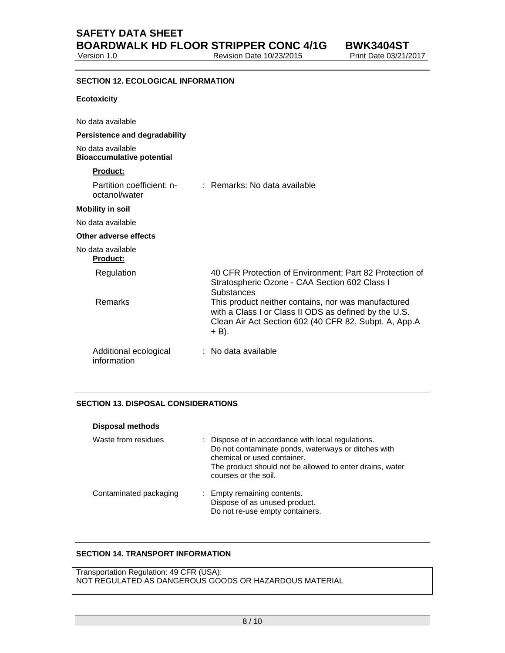Revision Date 10/23/2015 Print Date 03/21/2017

# **SECTION 12. ECOLOGICAL INFORMATION Ecotoxicity**  No data available **Persistence and degradability**  No data available **Bioaccumulative potential Product:**

| Partition coefficient: n-<br>octanol/water | : Remarks: No data available                                                                                                                                                      |
|--------------------------------------------|-----------------------------------------------------------------------------------------------------------------------------------------------------------------------------------|
| <b>Mobility in soil</b>                    |                                                                                                                                                                                   |
| No data available                          |                                                                                                                                                                                   |
| Other adverse effects                      |                                                                                                                                                                                   |
| No data available<br><b>Product:</b>       |                                                                                                                                                                                   |
| Regulation                                 | 40 CFR Protection of Environment; Part 82 Protection of<br>Stratospheric Ozone - CAA Section 602 Class I<br><b>Substances</b>                                                     |
| Remarks                                    | This product neither contains, nor was manufactured<br>with a Class I or Class II ODS as defined by the U.S.<br>Clean Air Act Section 602 (40 CFR 82, Subpt. A, App.A<br>$+ B$ ). |
| Additional ecological<br>information       | : No data available                                                                                                                                                               |

# **SECTION 13. DISPOSAL CONSIDERATIONS**

| <b>Disposal methods</b> |                                                                                                                                                                                                                              |
|-------------------------|------------------------------------------------------------------------------------------------------------------------------------------------------------------------------------------------------------------------------|
| Waste from residues     | : Dispose of in accordance with local regulations.<br>Do not contaminate ponds, waterways or ditches with<br>chemical or used container.<br>The product should not be allowed to enter drains, water<br>courses or the soil. |
| Contaminated packaging  | : Empty remaining contents.<br>Dispose of as unused product.<br>Do not re-use empty containers.                                                                                                                              |

# **SECTION 14. TRANSPORT INFORMATION**

Transportation Regulation: 49 CFR (USA): NOT REGULATED AS DANGEROUS GOODS OR HAZARDOUS MATERIAL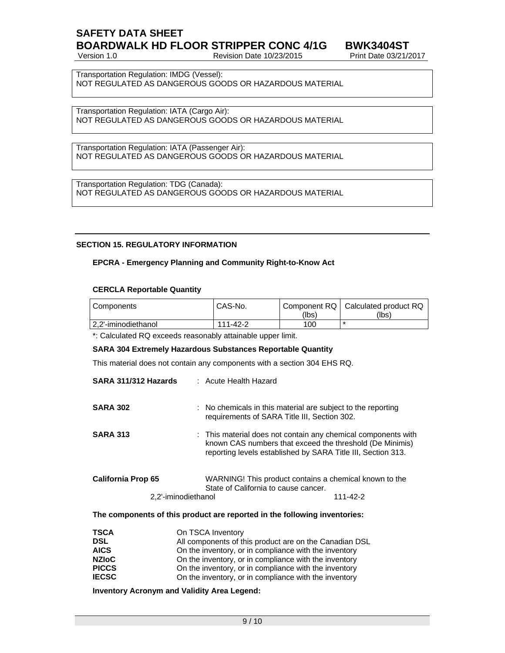# **SAFETY DATA SHEET BOARDWALK HD FLOOR STRIPPER CONC 4/1G BWK3404ST**

Version 1.0 Revision Date 10/23/2015 Print Date 03/21/2017

Transportation Regulation: IMDG (Vessel): NOT REGULATED AS DANGEROUS GOODS OR HAZARDOUS MATERIAL

Transportation Regulation: IATA (Cargo Air): NOT REGULATED AS DANGEROUS GOODS OR HAZARDOUS MATERIAL

Transportation Regulation: IATA (Passenger Air): NOT REGULATED AS DANGEROUS GOODS OR HAZARDOUS MATERIAL

Transportation Regulation: TDG (Canada): NOT REGULATED AS DANGEROUS GOODS OR HAZARDOUS MATERIAL

#### **SECTION 15. REGULATORY INFORMATION**

#### **EPCRA - Emergency Planning and Community Right-to-Know Act**

#### **CERCLA Reportable Quantity**

| Components           | CAS-No.  | (lbs) | Component RQ   Calculated product RQ<br>(lbs) |
|----------------------|----------|-------|-----------------------------------------------|
| 12.2'-iminodiethanol | 111-42-2 | 100   |                                               |

\*: Calculated RQ exceeds reasonably attainable upper limit.

#### **SARA 304 Extremely Hazardous Substances Reportable Quantity**

This material does not contain any components with a section 304 EHS RQ.

| SARA 311/312 Hazards                             | : Acute Health Hazard                                                                                                                                                                     |
|--------------------------------------------------|-------------------------------------------------------------------------------------------------------------------------------------------------------------------------------------------|
| <b>SARA 302</b>                                  | : No chemicals in this material are subject to the reporting<br>requirements of SARA Title III, Section 302.                                                                              |
| <b>SARA 313</b>                                  | : This material does not contain any chemical components with<br>known CAS numbers that exceed the threshold (De Minimis)<br>reporting levels established by SARA Title III, Section 313. |
| <b>California Prop 65</b><br>2,2'-iminodiethanol | WARNING! This product contains a chemical known to the<br>State of California to cause cancer.<br>111-42-2                                                                                |
|                                                  | The components of this product are reported in the following inventories:                                                                                                                 |
|                                                  |                                                                                                                                                                                           |

| <b>TSCA</b>  | On TSCA Inventory                                      |
|--------------|--------------------------------------------------------|
| <b>DSL</b>   | All components of this product are on the Canadian DSL |
| <b>AICS</b>  | On the inventory, or in compliance with the inventory  |
| <b>NZIoC</b> | On the inventory, or in compliance with the inventory  |
| <b>PICCS</b> | On the inventory, or in compliance with the inventory  |
| <b>IECSC</b> | On the inventory, or in compliance with the inventory  |
|              |                                                        |

**Inventory Acronym and Validity Area Legend:**